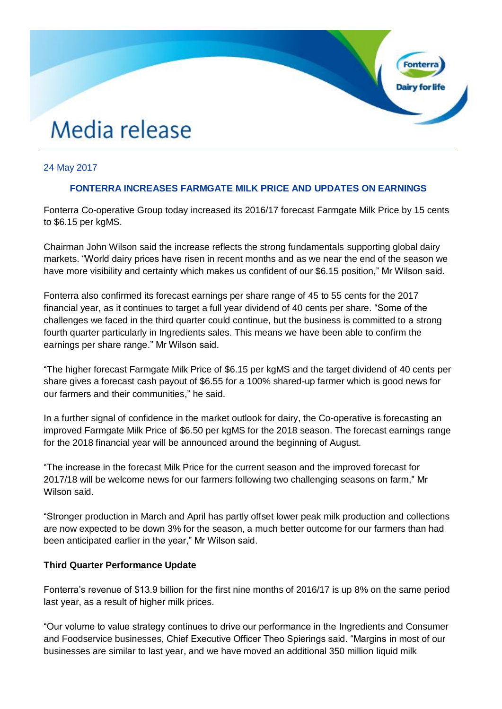# Media release

## 24 May 2017

### **FONTERRA INCREASES FARMGATE MILK PRICE AND UPDATES ON EARNINGS**

Fonterra Co-operative Group today increased its 2016/17 forecast Farmgate Milk Price by 15 cents to \$6.15 per kgMS.

Chairman John Wilson said the increase reflects the strong fundamentals supporting global dairy markets. "World dairy prices have risen in recent months and as we near the end of the season we have more visibility and certainty which makes us confident of our \$6.15 position," Mr Wilson said.

Fonterra also confirmed its forecast earnings per share range of 45 to 55 cents for the 2017 financial year, as it continues to target a full year dividend of 40 cents per share. "Some of the challenges we faced in the third quarter could continue, but the business is committed to a strong fourth quarter particularly in Ingredients sales. This means we have been able to confirm the earnings per share range." Mr Wilson said.

"The higher forecast Farmgate Milk Price of \$6.15 per kgMS and the target dividend of 40 cents per share gives a forecast cash payout of \$6.55 for a 100% shared-up farmer which is good news for our farmers and their communities," he said.

In a further signal of confidence in the market outlook for dairy, the Co-operative is forecasting an improved Farmgate Milk Price of \$6.50 per kgMS for the 2018 season. The forecast earnings range for the 2018 financial year will be announced around the beginning of August.

"The increase in the forecast Milk Price for the current season and the improved forecast for 2017/18 will be welcome news for our farmers following two challenging seasons on farm," Mr Wilson said.

"Stronger production in March and April has partly offset lower peak milk production and collections are now expected to be down 3% for the season, a much better outcome for our farmers than had been anticipated earlier in the year," Mr Wilson said.

#### **Third Quarter Performance Update**

Fonterra's revenue of \$13.9 billion for the first nine months of 2016/17 is up 8% on the same period last year, as a result of higher milk prices.

"Our volume to value strategy continues to drive our performance in the Ingredients and Consumer and Foodservice businesses, Chief Executive Officer Theo Spierings said. "Margins in most of our businesses are similar to last year, and we have moved an additional 350 million liquid milk